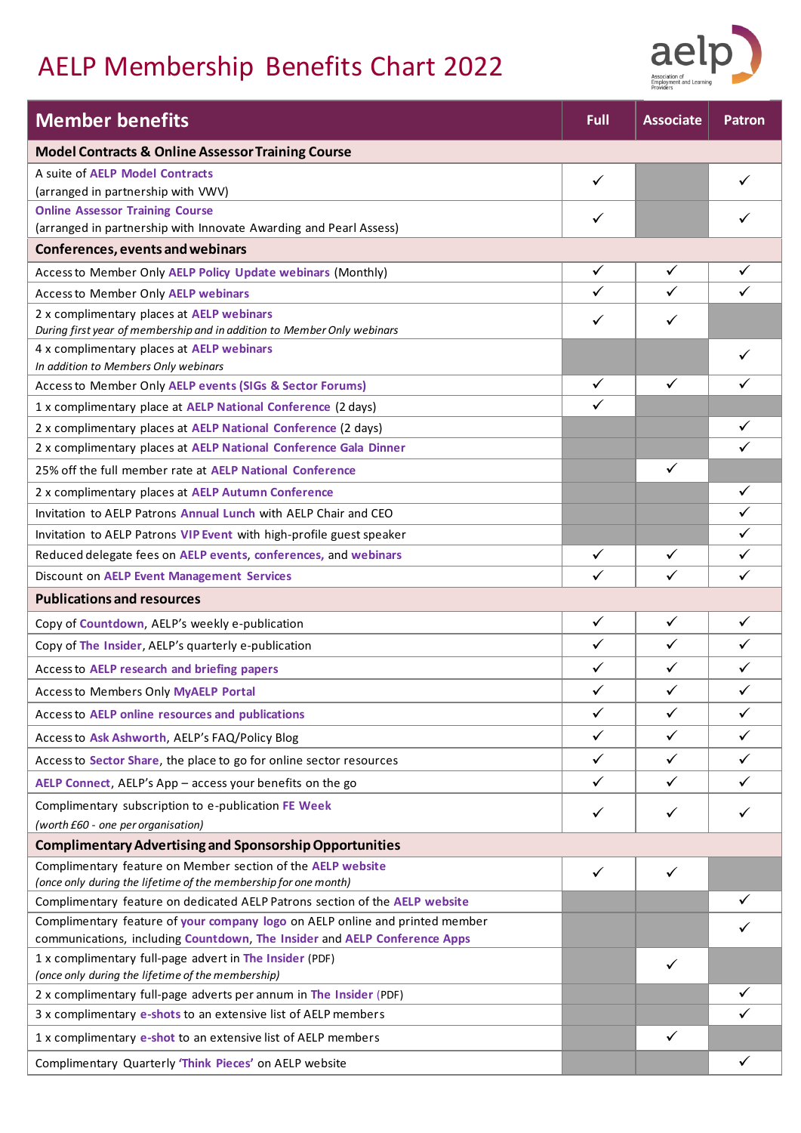# AELP Membership Benefits Chart 2022



| <b>Member benefits</b>                                                                                                                                    | Full                         | <b>Associate</b> | <b>Patron</b> |
|-----------------------------------------------------------------------------------------------------------------------------------------------------------|------------------------------|------------------|---------------|
| <b>Model Contracts &amp; Online Assessor Training Course</b>                                                                                              |                              |                  |               |
| A suite of AELP Model Contracts                                                                                                                           | $\checkmark$                 |                  |               |
| (arranged in partnership with VWV)                                                                                                                        |                              |                  |               |
| <b>Online Assessor Training Course</b><br>(arranged in partnership with Innovate Awarding and Pearl Assess)                                               | ✓                            |                  |               |
| <b>Conferences, events and webinars</b>                                                                                                                   |                              |                  |               |
|                                                                                                                                                           | $\checkmark$                 | $\checkmark$     | $\checkmark$  |
| Access to Member Only AELP Policy Update webinars (Monthly)                                                                                               |                              |                  |               |
| <b>Access to Member Only AELP webinars</b>                                                                                                                | $\checkmark$                 | ✓                | ✓             |
| 2 x complimentary places at AELP webinars<br>During first year of membership and in addition to Member Only webinars                                      | $\checkmark$                 | ✓                |               |
| 4 x complimentary places at AELP webinars                                                                                                                 |                              |                  |               |
| In addition to Members Only webinars                                                                                                                      |                              | ✓                | ✓             |
| Access to Member Only AELP events (SIGs & Sector Forums)                                                                                                  | $\checkmark$<br>$\checkmark$ |                  |               |
| 1 x complimentary place at AELP National Conference (2 days)                                                                                              |                              |                  |               |
| 2 x complimentary places at AELP National Conference (2 days)                                                                                             |                              |                  |               |
| 2 x complimentary places at AELP National Conference Gala Dinner                                                                                          |                              |                  |               |
| 25% off the full member rate at AELP National Conference                                                                                                  |                              | ✓                |               |
| 2 x complimentary places at AELP Autumn Conference                                                                                                        |                              |                  | $\checkmark$  |
| Invitation to AELP Patrons Annual Lunch with AELP Chair and CEO                                                                                           |                              |                  | ✓             |
| Invitation to AELP Patrons VIP Event with high-profile guest speaker                                                                                      |                              |                  | ✓             |
| Reduced delegate fees on AELP events, conferences, and webinars                                                                                           | $\checkmark$                 | ✓                | $\checkmark$  |
| <b>Discount on AELP Event Management Services</b>                                                                                                         | ✓                            | ✓                | ✓             |
| <b>Publications and resources</b>                                                                                                                         |                              |                  |               |
| Copy of Countdown, AELP's weekly e-publication                                                                                                            | $\checkmark$                 | $\checkmark$     | $\checkmark$  |
| Copy of The Insider, AELP's quarterly e-publication                                                                                                       | $\checkmark$                 | ✓                | $\checkmark$  |
| Access to AELP research and briefing papers                                                                                                               | $\checkmark$                 | $\checkmark$     | $\checkmark$  |
| <b>Access to Members Only MyAELP Portal</b>                                                                                                               | ✓                            | ✓                | ✓             |
| Access to AELP online resources and publications                                                                                                          | ✓                            | ✓                | ✓             |
| Access to Ask Ashworth, AELP's FAQ/Policy Blog                                                                                                            | $\checkmark$                 | $\checkmark$     | ✓             |
| Access to Sector Share, the place to go for online sector resources                                                                                       | $\checkmark$                 | ✓                | ✓             |
| AELP Connect, AELP's App - access your benefits on the go                                                                                                 | $\checkmark$                 | $\checkmark$     | ✓             |
| Complimentary subscription to e-publication FE Week                                                                                                       |                              |                  |               |
| (worth £60 - one per organisation)                                                                                                                        | $\checkmark$                 | ✓                | ✓             |
| <b>Complimentary Advertising and Sponsorship Opportunities</b>                                                                                            |                              |                  |               |
| Complimentary feature on Member section of the AELP website                                                                                               | $\checkmark$                 | $\checkmark$     |               |
| (once only during the lifetime of the membership for one month)                                                                                           |                              |                  |               |
| Complimentary feature on dedicated AELP Patrons section of the AELP website                                                                               |                              |                  |               |
| Complimentary feature of your company logo on AELP online and printed member<br>communications, including Countdown, The Insider and AELP Conference Apps |                              |                  |               |
| 1 x complimentary full-page advert in The Insider (PDF)                                                                                                   |                              | $\checkmark$     |               |
| (once only during the lifetime of the membership)                                                                                                         |                              |                  |               |
| 2 x complimentary full-page adverts per annum in The Insider (PDF)                                                                                        |                              |                  | ✓             |
| 3 x complimentary e-shots to an extensive list of AELP members                                                                                            |                              |                  |               |
| 1 x complimentary e-shot to an extensive list of AELP members                                                                                             |                              | $\checkmark$     |               |
| Complimentary Quarterly 'Think Pieces' on AELP website                                                                                                    |                              |                  | $\checkmark$  |